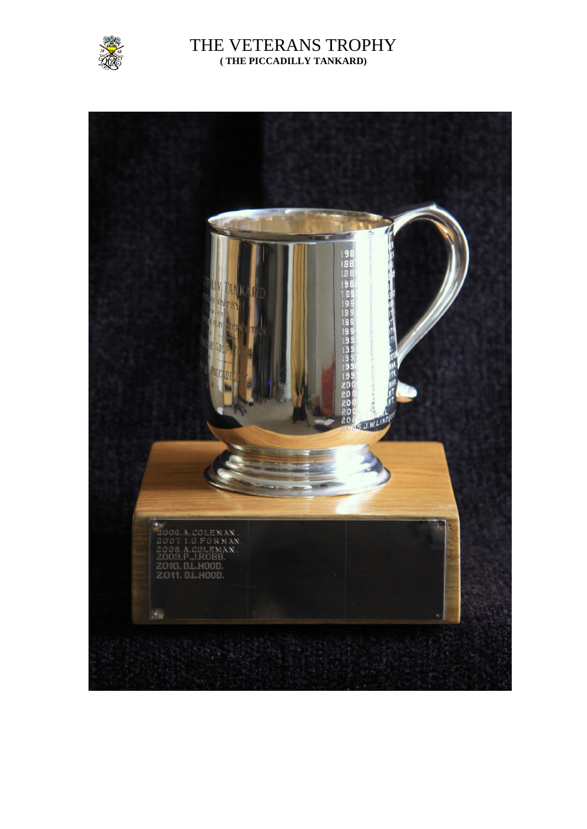

## THE VETERANS TROPHY **( THE PICCADILLY TANKARD)**